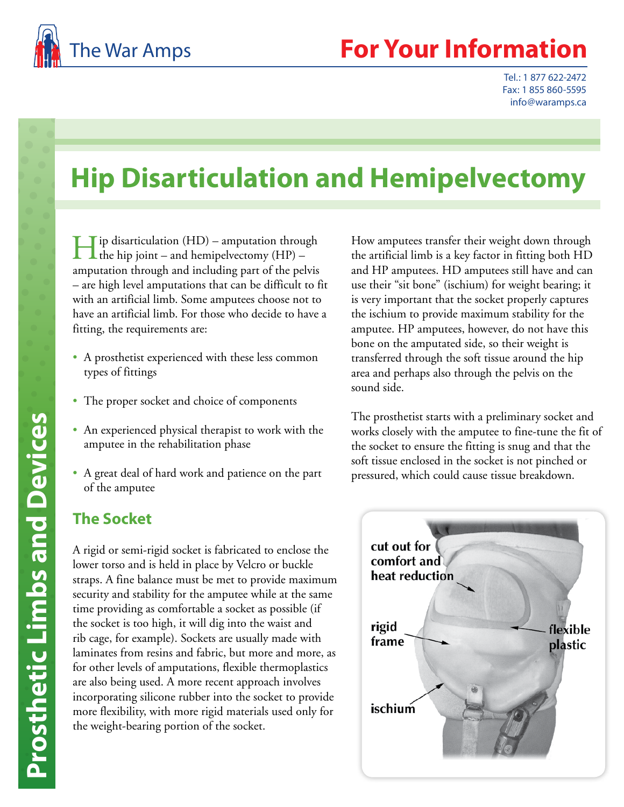

## **Your Information**

Tel.: 1 877 622-2472 Fax: 1 855 860-5595 info@waramps.ca

# **Hip Disarticulation and Hemipelvectomy**

 $\prod$  ip disarticulation (HD) – amputation through<br>the hip joint – and hemipelvectomy (HP) – amputation through and including part of the pelvis – are high level amputations that can be difficult to fit with an artificial limb. Some amputees choose not to have an artificial limb. For those who decide to have a fitting, the requirements are:

- A prosthetist experienced with these less common types of fittings
- The proper socket and choice of components
- An experienced physical therapist to work with the amputee in the rehabilitation phase
- A great deal of hard work and patience on the part of the amputee

## **The Socket**

A rigid or semi-rigid socket is fabricated to enclose the lower torso and is held in place by Velcro or buckle straps. A fine balance must be met to provide maximum security and stability for the amputee while at the same time providing as comfortable a socket as possible (if the socket is too high, it will dig into the waist and rib cage, for example). Sockets are usually made with laminates from resins and fabric, but more and more, as for other levels of amputations, flexible thermoplastics are also being used. A more recent approach involves incorporating silicone rubber into the socket to provide more flexibility, with more rigid materials used only for the weight-bearing portion of the socket.

How amputees transfer their weight down through the artificial limb is a key factor in fitting both HD and HP amputees. HD amputees still have and can use their "sit bone" (ischium) for weight bearing; it is very important that the socket properly captures the ischium to provide maximum stability for the amputee. HP amputees, however, do not have this bone on the amputated side, so their weight is transferred through the soft tissue around the hip area and perhaps also through the pelvis on the sound side.

The prosthetist starts with a preliminary socket and works closely with the amputee to fine-tune the fit of the socket to ensure the fitting is snug and that the soft tissue enclosed in the socket is not pinched or pressured, which could cause tissue breakdown.

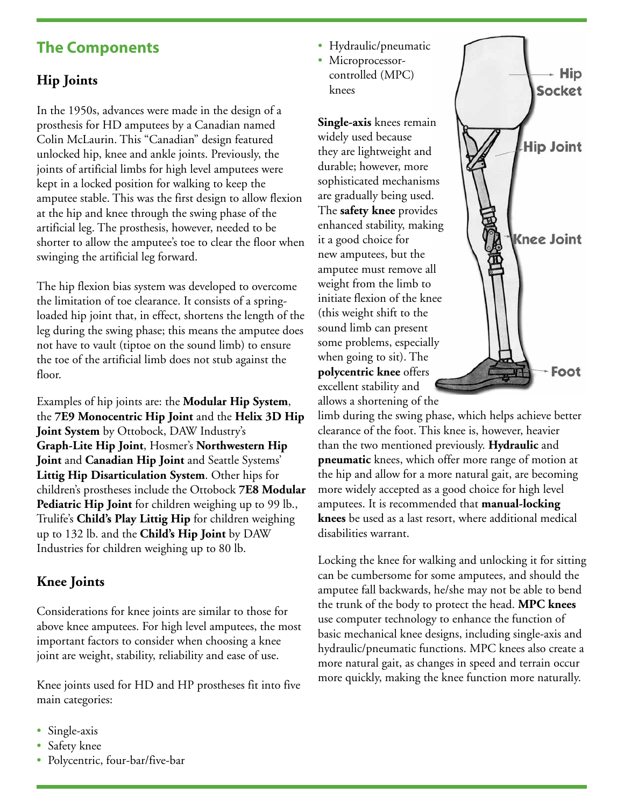## **The Components**

### **Hip Joints**

In the 1950s, advances were made in the design of a prosthesis for HD amputees by a Canadian named Colin McLaurin. This "Canadian" design featured unlocked hip, knee and ankle joints. Previously, the joints of artificial limbs for high level amputees were kept in a locked position for walking to keep the amputee stable. This was the first design to allow flexion at the hip and knee through the swing phase of the artificial leg. The prosthesis, however, needed to be shorter to allow the amputee's toe to clear the floor when swinging the artificial leg forward.

The hip flexion bias system was developed to overcome the limitation of toe clearance. It consists of a springloaded hip joint that, in effect, shortens the length of the leg during the swing phase; this means the amputee does not have to vault (tiptoe on the sound limb) to ensure the toe of the artificial limb does not stub against the floor.

Examples of hip joints are: the **Modular Hip System**, the **7E9 Monocentric Hip Joint** and the **Helix 3D Hip Joint System** by Ottobock, DAW Industry's **Graph-Lite Hip Joint**, Hosmer's **Northwestern Hip Joint** and **Canadian Hip Joint** and Seattle Systems' **Littig Hip Disarticulation System**. Other hips for children's prostheses include the Ottobock **7E8 Modular Pediatric Hip Joint** for children weighing up to 99 lb., Trulife's **Child's Play Littig Hip** for children weighing up to 132 lb. and the **Child's Hip Joint** by DAW Industries for children weighing up to 80 lb.

#### **Knee Joints**

Considerations for knee joints are similar to those for above knee amputees. For high level amputees, the most important factors to consider when choosing a knee joint are weight, stability, reliability and ease of use.

Knee joints used for HD and HP prostheses fit into five main categories:

- Single-axis
- Safety knee
- Polycentric, four-bar/five-bar
- Hydraulic/pneumatic
- Microprocessorcontrolled (MPC) knees

**Single-axis** knees remain widely used because they are lightweight and durable; however, more sophisticated mechanisms are gradually being used. The **safety knee** provides enhanced stability, making it a good choice for new amputees, but the amputee must remove all weight from the limb to initiate flexion of the knee (this weight shift to the sound limb can present some problems, especially when going to sit). The **polycentric knee** offers excellent stability and allows a shortening of the



limb during the swing phase, which helps achieve better clearance of the foot. This knee is, however, heavier than the two mentioned previously. **Hydraulic** and **pneumatic** knees, which offer more range of motion at the hip and allow for a more natural gait, are becoming more widely accepted as a good choice for high level amputees. It is recommended that **manual-locking knees** be used as a last resort, where additional medical disabilities warrant.

Locking the knee for walking and unlocking it for sitting can be cumbersome for some amputees, and should the amputee fall backwards, he/she may not be able to bend the trunk of the body to protect the head. **MPC knees**  use computer technology to enhance the function of basic mechanical knee designs, including single-axis and hydraulic/pneumatic functions. MPC knees also create a more natural gait, as changes in speed and terrain occur more quickly, making the knee function more naturally.